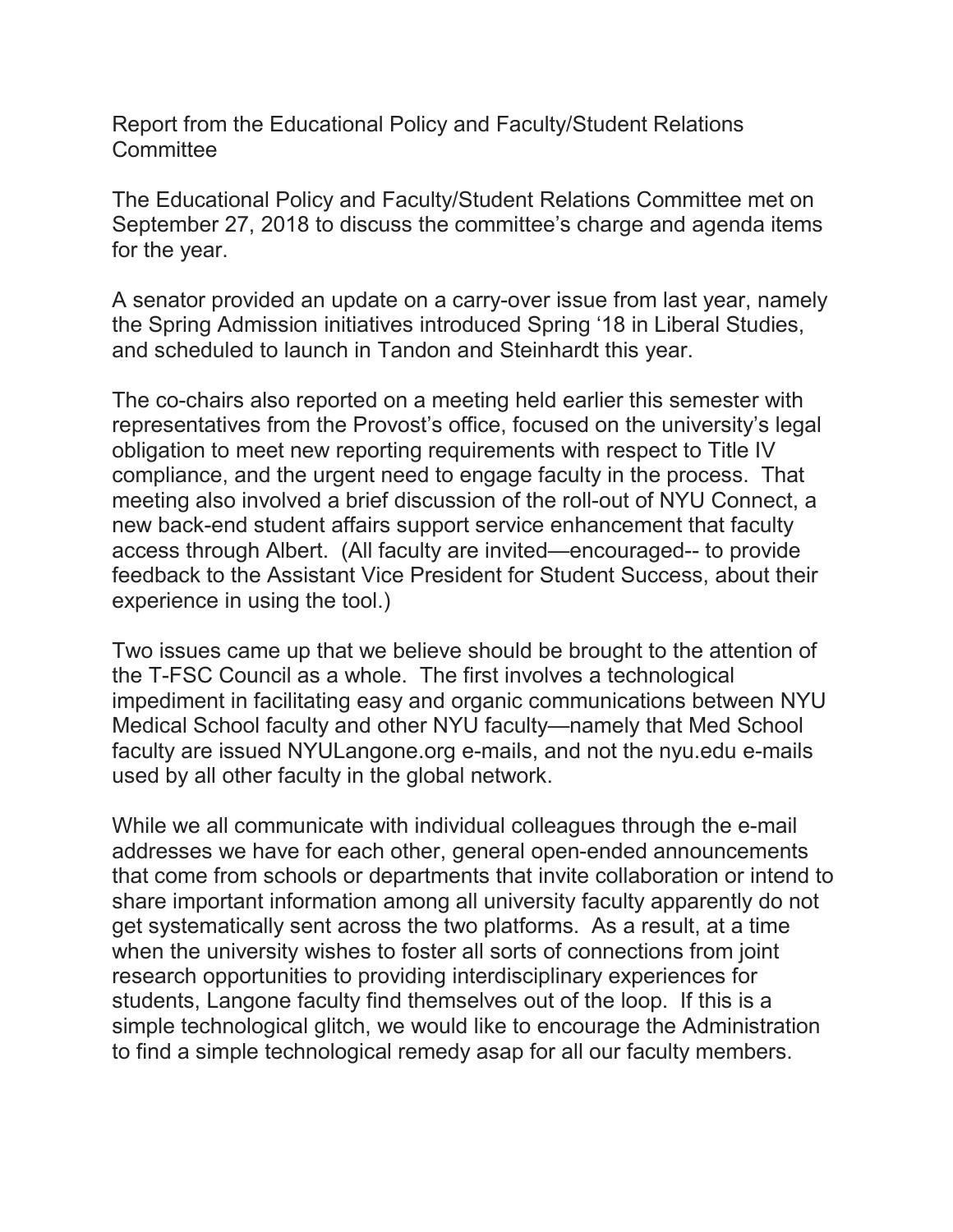Report from the Educational Policy and Faculty/Student Relations **Committee** 

The Educational Policy and Faculty/Student Relations Committee met on September 27, 2018 to discuss the committee's charge and agenda items for the year.

A senator provided an update on a carry-over issue from last year, namely the Spring Admission initiatives introduced Spring '18 in Liberal Studies, and scheduled to launch in Tandon and Steinhardt this year.

The co-chairs also reported on a meeting held earlier this semester with representatives from the Provost's office, focused on the university's legal obligation to meet new reporting requirements with respect to Title IV compliance, and the urgent need to engage faculty in the process. That meeting also involved a brief discussion of the roll-out of NYU Connect, a new back-end student affairs support service enhancement that faculty access through Albert. (All faculty are invited—encouraged-- to provide feedback to the Assistant Vice President for Student Success, about their experience in using the tool.)

Two issues came up that we believe should be brought to the attention of the T-FSC Council as a whole. The first involves a technological impediment in facilitating easy and organic communications between NYU Medical School faculty and other NYU faculty—namely that Med School faculty are issued NYULangone.org e-mails, and not the nyu.edu e-mails used by all other faculty in the global network.

While we all communicate with individual colleagues through the e-mail addresses we have for each other, general open-ended announcements that come from schools or departments that invite collaboration or intend to share important information among all university faculty apparently do not get systematically sent across the two platforms. As a result, at a time when the university wishes to foster all sorts of connections from joint research opportunities to providing interdisciplinary experiences for students, Langone faculty find themselves out of the loop. If this is a simple technological glitch, we would like to encourage the Administration to find a simple technological remedy asap for all our faculty members.